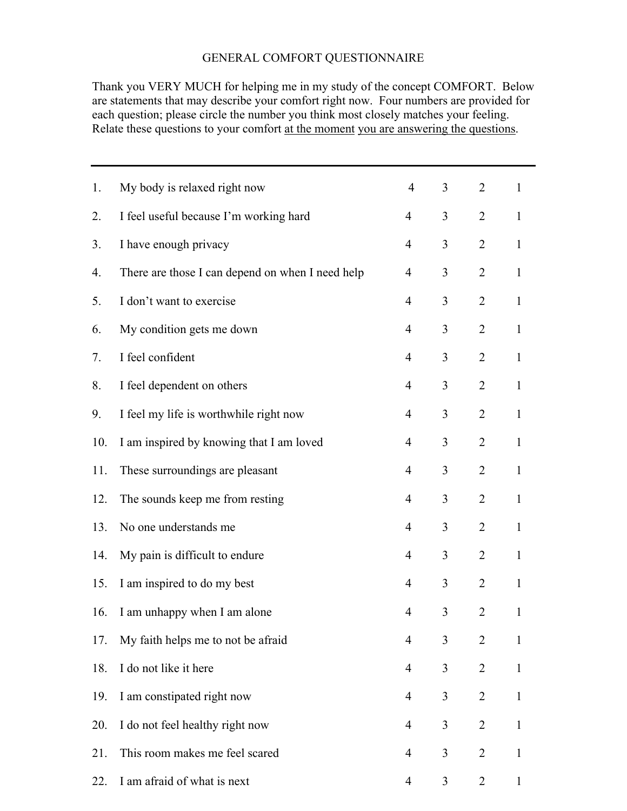## GENERAL COMFORT QUESTIONNAIRE

Thank you VERY MUCH for helping me in my study of the concept COMFORT. Below are statements that may describe your comfort right now. Four numbers are provided for each question; please circle the number you think most closely matches your feeling. Relate these questions to your comfort at the moment you are answering the questions.

| 1.  | My body is relaxed right now                     | $\overline{4}$           | 3              | $\overline{2}$ | $\mathbf{1}$ |
|-----|--------------------------------------------------|--------------------------|----------------|----------------|--------------|
| 2.  | I feel useful because I'm working hard           | $\overline{\mathcal{A}}$ | 3              | $\overline{2}$ | $\mathbf{1}$ |
| 3.  | I have enough privacy                            | $\overline{4}$           | 3              | $\overline{2}$ | $\mathbf{1}$ |
| 4.  | There are those I can depend on when I need help | 4                        | 3              | $\overline{2}$ | $\mathbf{1}$ |
| 5.  | I don't want to exercise                         | $\overline{4}$           | 3              | $\overline{2}$ | $\mathbf{1}$ |
| 6.  | My condition gets me down                        | $\overline{4}$           | 3              | $\overline{2}$ | $\mathbf{1}$ |
| 7.  | I feel confident                                 | $\overline{\mathcal{A}}$ | 3              | $\overline{2}$ | $\mathbf{1}$ |
| 8.  | I feel dependent on others                       | $\overline{4}$           | 3              | $\overline{2}$ | $\mathbf{1}$ |
| 9.  | I feel my life is worthwhile right now           | 4                        | 3              | $\overline{2}$ | $\mathbf{1}$ |
| 10. | I am inspired by knowing that I am loved         | $\overline{4}$           | 3              | $\overline{2}$ | $\mathbf{1}$ |
| 11. | These surroundings are pleasant                  | 4                        | 3              | $\overline{2}$ | $\mathbf{1}$ |
| 12. | The sounds keep me from resting                  | $\overline{\mathcal{A}}$ | 3              | $\overline{2}$ | $\mathbf{1}$ |
| 13. | No one understands me                            | $\overline{4}$           | 3              | $\overline{2}$ | $\mathbf{1}$ |
| 14. | My pain is difficult to endure                   | 4                        | 3              | $\overline{2}$ | $\mathbf{1}$ |
| 15. | I am inspired to do my best                      | $\overline{4}$           | 3              | $\overline{2}$ | $\mathbf{1}$ |
| 16. | I am unhappy when I am alone                     | 4                        | $\mathfrak{Z}$ | $\overline{2}$ | $\mathbf{1}$ |
| 17. | My faith helps me to not be afraid               | $\overline{4}$           | 3              | $\overline{2}$ | $\mathbf{1}$ |
| 18. | I do not like it here                            | 4                        | 3              | $\overline{2}$ | $\mathbf{1}$ |
| 19. | I am constipated right now                       | 4                        | 3              | $\overline{2}$ | $\mathbf{1}$ |
| 20. | I do not feel healthy right now                  | $\overline{4}$           | 3              | $\overline{2}$ | $\mathbf{1}$ |
| 21. | This room makes me feel scared                   | 4                        | $\mathfrak{Z}$ | $\overline{2}$ | $\mathbf{1}$ |
| 22. | I am afraid of what is next                      | 4                        | 3              | $\overline{2}$ | $\mathbf 1$  |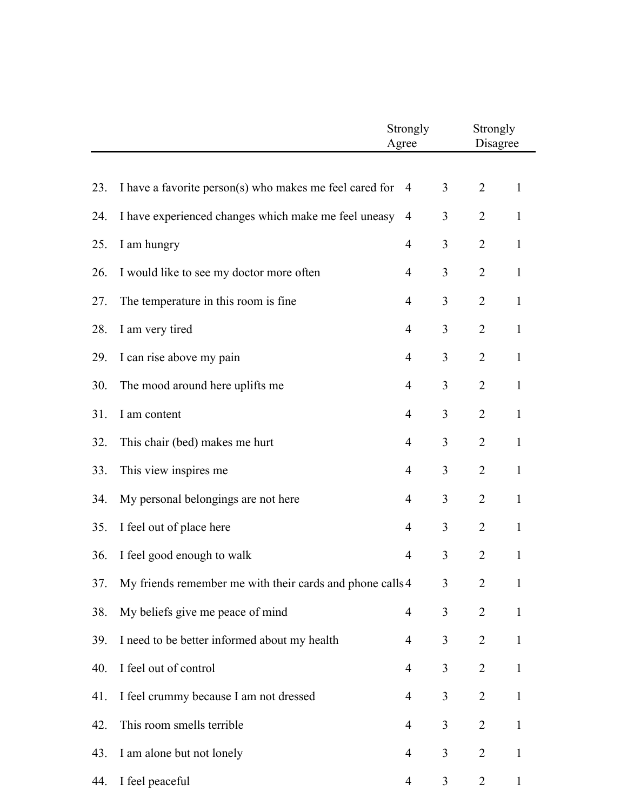|     |                                                                | Strongly<br>Agree        |   | Strongly<br>Disagree |              |  |
|-----|----------------------------------------------------------------|--------------------------|---|----------------------|--------------|--|
|     |                                                                |                          |   |                      |              |  |
| 23. | I have a favorite person(s) who makes me feel cared for        | 4                        | 3 | $\overline{2}$       | $\mathbf{1}$ |  |
| 24. | I have experienced changes which make me feel uneasy           | 4                        | 3 | $\overline{2}$       | $\mathbf{1}$ |  |
| 25. | I am hungry                                                    | $\overline{\mathcal{A}}$ | 3 | $\overline{2}$       | $\mathbf{1}$ |  |
| 26. | I would like to see my doctor more often                       | $\overline{4}$           | 3 | $\overline{2}$       | $\mathbf{1}$ |  |
| 27. | The temperature in this room is fine                           | $\overline{4}$           | 3 | $\overline{2}$       | $\mathbf{1}$ |  |
| 28. | I am very tired                                                | 4                        | 3 | $\overline{2}$       | $\mathbf{1}$ |  |
| 29. | I can rise above my pain                                       | $\overline{\mathcal{A}}$ | 3 | $\overline{2}$       | $\mathbf{1}$ |  |
| 30. | The mood around here uplifts me                                | $\overline{4}$           | 3 | $\overline{2}$       | $\mathbf{1}$ |  |
| 31. | I am content                                                   | $\overline{4}$           | 3 | $\overline{2}$       | $\mathbf{1}$ |  |
| 32. | This chair (bed) makes me hurt                                 | $\overline{\mathcal{A}}$ | 3 | $\overline{2}$       | $\mathbf{1}$ |  |
| 33. | This view inspires me                                          | 4                        | 3 | $\overline{2}$       | $\mathbf{1}$ |  |
| 34. | My personal belongings are not here                            | $\overline{\mathcal{A}}$ | 3 | $\overline{2}$       | $\mathbf{1}$ |  |
| 35. | I feel out of place here                                       | $\overline{\mathcal{A}}$ | 3 | $\overline{2}$       | $\mathbf{1}$ |  |
| 36. | I feel good enough to walk                                     | $\overline{\mathcal{A}}$ | 3 | $\overline{2}$       | $\mathbf{1}$ |  |
| 37. | My friends remember me with their cards and phone calls 4<br>3 |                          |   | $\overline{2}$       | 1            |  |
| 38. | My beliefs give me peace of mind                               | 4                        | 3 | $\overline{2}$       | $\mathbf{1}$ |  |
| 39. | I need to be better informed about my health                   | $\overline{4}$           | 3 | $\overline{2}$       | $\mathbf{1}$ |  |
| 40. | I feel out of control                                          | $\overline{\mathcal{A}}$ | 3 | $\overline{2}$       | $\mathbf{1}$ |  |
| 41. | I feel crummy because I am not dressed                         | 4                        | 3 | $\overline{2}$       | $\mathbf{1}$ |  |
| 42. | This room smells terrible                                      | 4                        | 3 | $\overline{2}$       | $\mathbf{1}$ |  |
| 43. | I am alone but not lonely                                      | 4                        | 3 | $\overline{2}$       | $\mathbf{1}$ |  |
| 44. | I feel peaceful                                                | 4                        | 3 | $\overline{2}$       | $\mathbf{1}$ |  |